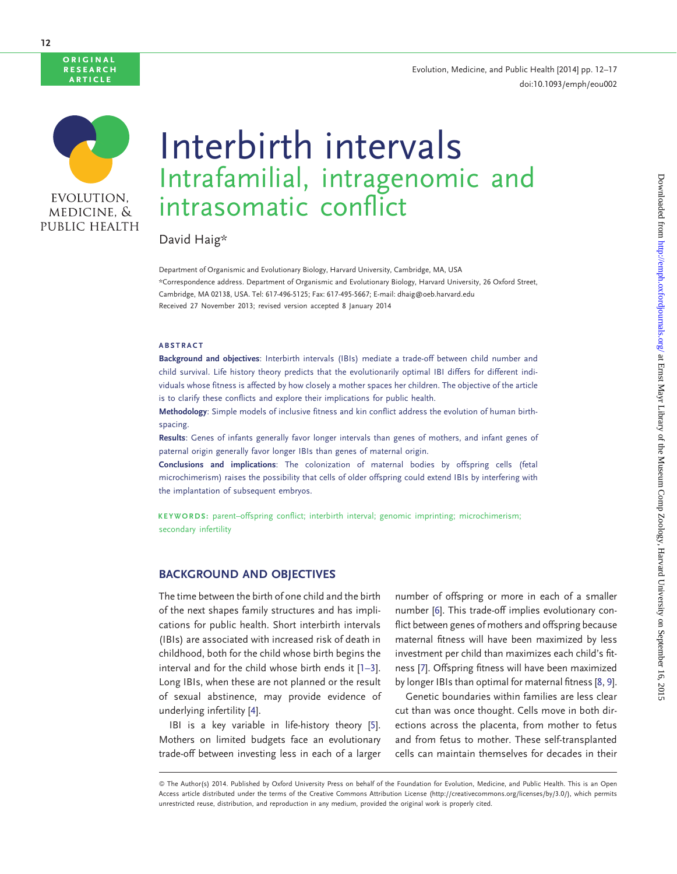## Evolution, Medicine, and Public Health [2014] pp. 12–17 doi:10.1093/emph/eou002



original **RESEARCH** article

# Interbirth intervals Intrafamilial, intragenomic and intrasomatic conflict

David Haig\*

Department of Organismic and Evolutionary Biology, Harvard University, Cambridge, MA, USA \*Correspondence address. Department of Organismic and Evolutionary Biology, Harvard University, 26 Oxford Street, Cambridge, MA 02138, USA. Tel: 617-496-5125; Fax: 617-495-5667; E-mail: dhaig@oeb.harvard.edu Received 27 November 2013; revised version accepted 8 January 2014

#### ABSTRACT

Background and objectives: Interbirth intervals (IBIs) mediate a trade-off between child number and child survival. Life history theory predicts that the evolutionarily optimal IBI differs for different individuals whose fitness is affected by how closely a mother spaces her children. The objective of the article is to clarify these conflicts and explore their implications for public health.

Methodology: Simple models of inclusive fitness and kin conflict address the evolution of human birthspacing.

Results: Genes of infants generally favor longer intervals than genes of mothers, and infant genes of paternal origin generally favor longer IBIs than genes of maternal origin.

Conclusions and implications: The colonization of maternal bodies by offspring cells (fetal microchimerism) raises the possibility that cells of older offspring could extend IBIs by interfering with the implantation of subsequent embryos.

KEYWORDS: parent–offspring conflict; interbirth interval; genomic imprinting; microchimerism; secondary infertility

## BACKGROUND AND OBJECTIVES

The time between the birth of one child and the birth of the next shapes family structures and has implications for public health. Short interbirth intervals (IBIs) are associated with increased risk of death in childhood, both for the child whose birth begins the interval and for the child whose birth ends it [[1–3\]](#page-5-0). Long IBIs, when these are not planned or the result of sexual abstinence, may provide evidence of underlying infertility [[4](#page-5-0)].

IBI is a key variable in life-history theory [\[5\]](#page-5-0). Mothers on limited budgets face an evolutionary trade-off between investing less in each of a larger

number of offspring or more in each of a smaller number [\[6\]](#page-5-0). This trade-off implies evolutionary conflict between genes of mothers and offspring because maternal fitness will have been maximized by less investment per child than maximizes each child's fitness [\[7\]](#page-5-0). Offspring fitness will have been maximized by longer IBIs than optimal for maternal fitness [\[8](#page-5-0), [9\]](#page-5-0).

Genetic boundaries within families are less clear cut than was once thought. Cells move in both directions across the placenta, from mother to fetus and from fetus to mother. These self-transplanted cells can maintain themselves for decades in their

<sup>©</sup> The Author(s) 2014. Published by Oxford University Press on behalf of the Foundation for Evolution, Medicine, and Public Health. This is an Open Access article distributed under the terms of the Creative Commons Attribution License (http://creativecommons.org/licenses/by/3.0/), which permits unrestricted reuse, distribution, and reproduction in any medium, provided the original work is properly cited.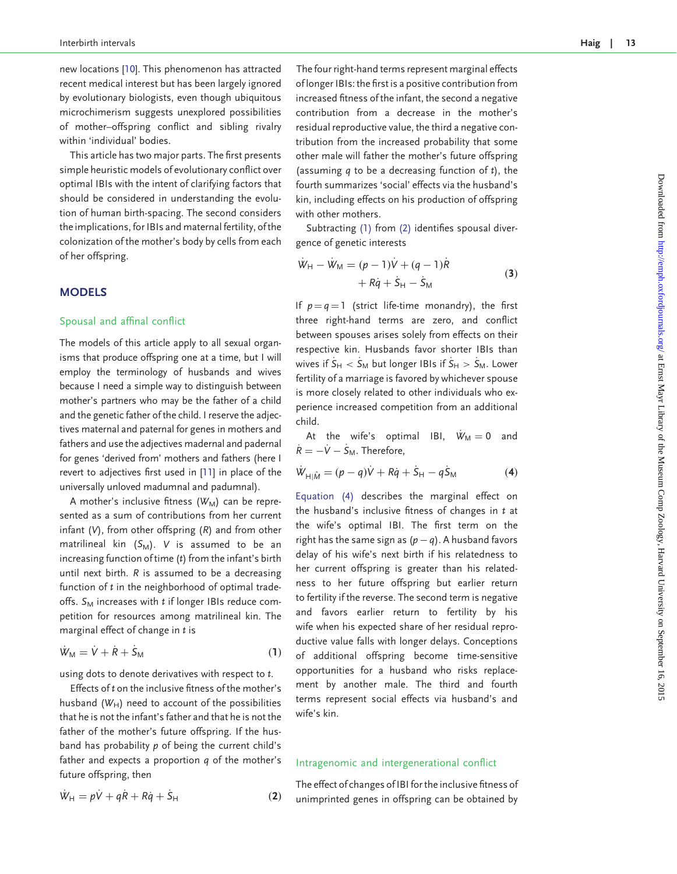new locations [[10](#page-5-0)]. This phenomenon has attracted recent medical interest but has been largely ignored by evolutionary biologists, even though ubiquitous microchimerism suggests unexplored possibilities of mother–offspring conflict and sibling rivalry within 'individual' bodies.

This article has two major parts. The first presents simple heuristic models of evolutionary conflict over optimal IBIs with the intent of clarifying factors that should be considered in understanding the evolution of human birth-spacing. The second considers the implications, for IBIs and maternal fertility, of the colonization of the mother's body by cells from each of her offspring.

# **MODELS**

#### Spousal and affinal conflict

The models of this article apply to all sexual organisms that produce offspring one at a time, but I will employ the terminology of husbands and wives because I need a simple way to distinguish between mother's partners who may be the father of a child and the genetic father of the child. I reserve the adjectives maternal and paternal for genes in mothers and fathers and use the adjectives madernal and padernal for genes 'derived from' mothers and fathers (here I revert to adjectives first used in [\[11\]](#page-5-0) in place of the universally unloved madumnal and padumnal).

A mother's inclusive fitness  $(W_M)$  can be represented as a sum of contributions from her current infant  $(V)$ , from other offspring  $(R)$  and from other matrilineal kin  $(S_M)$ . V is assumed to be an increasing function of time (t) from the infant's birth until next birth. R is assumed to be a decreasing function of t in the neighborhood of optimal tradeoffs.  $S_M$  increases with  $t$  if longer IBIs reduce competition for resources among matrilineal kin. The marginal effect of change in  $t$  is

$$
\dot{W}_{\rm M} = \dot{V} + \dot{R} + \dot{S}_{\rm M} \tag{1}
$$

using dots to denote derivatives with respect to t.

Effects of t on the inclusive fitness of the mother's husband ( $W_H$ ) need to account of the possibilities that he is not the infant's father and that he is not the father of the mother's future offspring. If the husband has probability  $p$  of being the current child's father and expects a proportion  $q$  of the mother's future offspring, then

$$
\dot{W}_{\rm H} = p\dot{V} + q\dot{R} + R\dot{q} + \dot{S}_{\rm H}
$$
 (2)

The four right-hand terms represent marginal effects of longer IBIs: the first is a positive contribution from increased fitness of the infant, the second a negative contribution from a decrease in the mother's residual reproductive value, the third a negative contribution from the increased probability that some other male will father the mother's future offspring (assuming  $q$  to be a decreasing function of  $t$ ), the fourth summarizes 'social' effects via the husband's

Subtracting (1) from (2) identifies spousal divergence of genetic interests

with other mothers.

kin, including effects on his production of offspring

$$
\dot{W}_{H} - \dot{W}_{M} = (p-1)\dot{V} + (q-1)\dot{R} + R\dot{q} + \dot{S}_{H} - \dot{S}_{M}
$$
 (3)

If  $p = q = 1$  (strict life-time monandry), the first three right-hand terms are zero, and conflict between spouses arises solely from effects on their respective kin. Husbands favor shorter IBIs than wives if  $S_H < S_M$  but longer IBIs if  $S_H > S_M$ . Lower fertility of a marriage is favored by whichever spouse is more closely related to other individuals who experience increased competition from an additional child.

At the wife's optimal IBI,  $\dot{W}_M = 0$  and  $\dot{R} = -\dot{V} - \dot{S}_{M}$ . Therefore,

$$
\dot{W}_{H|\hat{M}} = (p - q)\dot{V} + R\dot{q} + \dot{S}_H - q\dot{S}_M \tag{4}
$$

Equation (4) describes the marginal effect on the husband's inclusive fitness of changes in  $t$  at the wife's optimal IBI. The first term on the right has the same sign as  $(p-q)$ . A husband favors delay of his wife's next birth if his relatedness to her current offspring is greater than his relatedness to her future offspring but earlier return to fertility if the reverse. The second term is negative and favors earlier return to fertility by his wife when his expected share of her residual reproductive value falls with longer delays. Conceptions of additional offspring become time-sensitive opportunities for a husband who risks replacement by another male. The third and fourth terms represent social effects via husband's and wife's kin.

#### Intragenomic and intergenerational conflict

The effect of changes of IBI for the inclusive fitness of unimprinted genes in offspring can be obtained by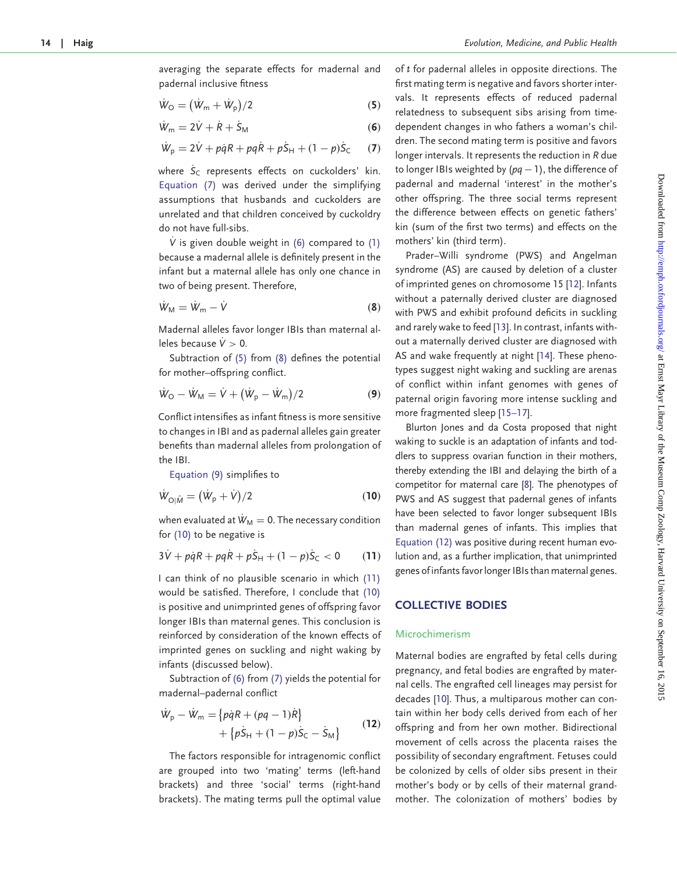averaging the separate effects for madernal and padernal inclusive fitness

$$
\dot{W}_{\rm O} = (\dot{W}_{\rm m} + \dot{W}_{\rm p})/2 \tag{5}
$$

$$
\dot{W}_{\rm m} = 2\dot{V} + \dot{R} + \dot{S}_{\rm M} \tag{6}
$$

$$
\dot{W}_p = 2\dot{V} + p\dot{q}R + pq\dot{R} + p\dot{S}_H + (1 - p)\dot{S}_C \qquad (7)
$$

where  $S_C$  represents effects on cuckolders' kin. Equation (7) was derived under the simplifying assumptions that husbands and cuckolders are unrelated and that children conceived by cuckoldry do not have full-sibs.

V is given double weight in  $(6)$  compared to  $(1)$ because a madernal allele is definitely present in the infant but a maternal allele has only one chance in two of being present. Therefore,

$$
\dot{W}_{\rm M} = \dot{W}_{\rm m} - \dot{V} \tag{8}
$$

Madernal alleles favor longer IBIs than maternal alleles because  $V > 0$ .

Subtraction of (5) from (8) defines the potential for mother–offspring conflict.

$$
\dot{W}_{\rm O} - \dot{W}_{\rm M} = \dot{V} + (\dot{W}_{\rm p} - \dot{W}_{\rm m})/2
$$
 (9)

Conflict intensifies as infant fitness is more sensitive to changes in IBI and as padernal alleles gain greater benefits than madernal alleles from prolongation of the IBI.

Equation (9) simplifies to

$$
\dot{W}_{\text{O}|\hat{M}} = (\dot{W}_{\text{p}} + \dot{V})/2 \tag{10}
$$

when evaluated at  $\dot{W}_M = 0$ . The necessary condition for (10) to be negative is

$$
3\dot{V} + p\dot{q}R + pq\dot{R} + p\dot{S}_{H} + (1 - p)\dot{S}_{C} < 0 \tag{11}
$$

I can think of no plausible scenario in which (11) would be satisfied. Therefore, I conclude that (10) is positive and unimprinted genes of offspring favor longer IBIs than maternal genes. This conclusion is reinforced by consideration of the known effects of imprinted genes on suckling and night waking by infants (discussed below).

Subtraction of (6) from (7) yields the potential for madernal–padernal conflict

$$
\dot{W}_{p} - \dot{W}_{m} = \{p\dot{q}R + (pq - 1)\dot{R}\}\n+ \{p\dot{S}_{H} + (1 - p)\dot{S}_{C} - \dot{S}_{M}\}\n\tag{12}
$$

The factors responsible for intragenomic conflict are grouped into two 'mating' terms (left-hand brackets) and three 'social' terms (right-hand brackets). The mating terms pull the optimal value

of t for padernal alleles in opposite directions. The first mating term is negative and favors shorter intervals. It represents effects of reduced padernal relatedness to subsequent sibs arising from timedependent changes in who fathers a woman's children. The second mating term is positive and favors longer intervals. It represents the reduction in R due to longer IBIs weighted by  $(pq - 1)$ , the difference of padernal and madernal 'interest' in the mother's other offspring. The three social terms represent the difference between effects on genetic fathers' kin (sum of the first two terms) and effects on the mothers' kin (third term).

Prader–Willi syndrome (PWS) and Angelman syndrome (AS) are caused by deletion of a cluster of imprinted genes on chromosome 15 [\[12\]](#page-5-0). Infants without a paternally derived cluster are diagnosed with PWS and exhibit profound deficits in suckling and rarely wake to feed [[13](#page-5-0)]. In contrast, infants without a maternally derived cluster are diagnosed with AS and wake frequently at night [\[14\]](#page-5-0). These phenotypes suggest night waking and suckling are arenas of conflict within infant genomes with genes of paternal origin favoring more intense suckling and more fragmented sleep [\[15–17](#page-5-0)].

Blurton Jones and da Costa proposed that night waking to suckle is an adaptation of infants and toddlers to suppress ovarian function in their mothers, thereby extending the IBI and delaying the birth of a competitor for maternal care [\[8\]](#page-5-0). The phenotypes of PWS and AS suggest that padernal genes of infants have been selected to favor longer subsequent IBIs than madernal genes of infants. This implies that Equation (12) was positive during recent human evolution and, as a further implication, that unimprinted genes of infants favor longer IBIs than maternal genes.

# COLLECTIVE BODIES

#### Microchimerism

Maternal bodies are engrafted by fetal cells during pregnancy, and fetal bodies are engrafted by maternal cells. The engrafted cell lineages may persist for decades [[10](#page-5-0)]. Thus, a multiparous mother can contain within her body cells derived from each of her offspring and from her own mother. Bidirectional movement of cells across the placenta raises the possibility of secondary engraftment. Fetuses could be colonized by cells of older sibs present in their mother's body or by cells of their maternal grandmother. The colonization of mothers' bodies by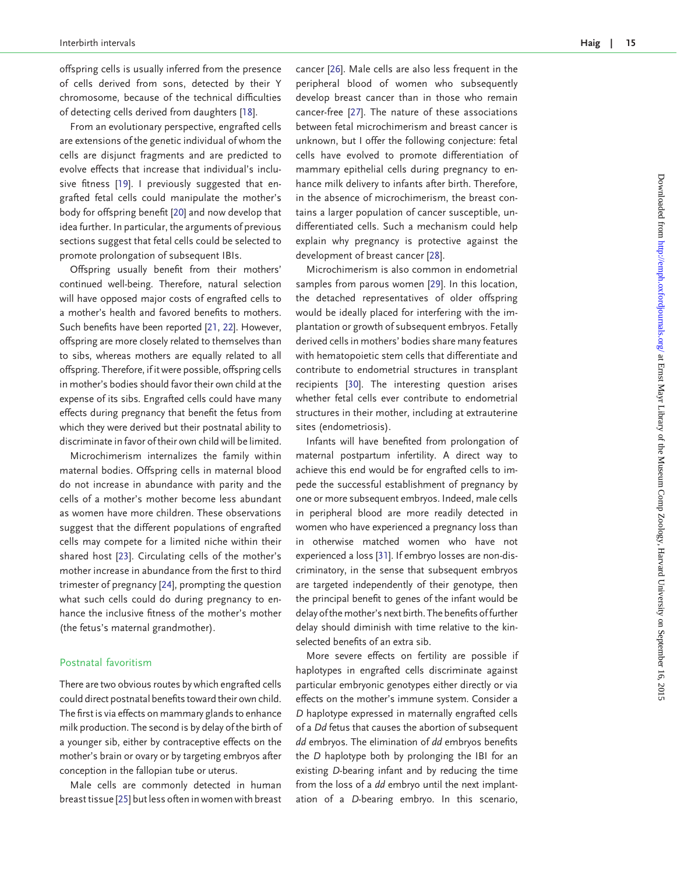offspring cells is usually inferred from the presence of cells derived from sons, detected by their Y chromosome, because of the technical difficulties of detecting cells derived from daughters [\[18\]](#page-5-0).

From an evolutionary perspective, engrafted cells are extensions of the genetic individual of whom the cells are disjunct fragments and are predicted to evolve effects that increase that individual's inclusive fitness [[19](#page-5-0)]. I previously suggested that engrafted fetal cells could manipulate the mother's body for offspring benefit [[20](#page-5-0)] and now develop that idea further. In particular, the arguments of previous sections suggest that fetal cells could be selected to promote prolongation of subsequent IBIs.

Offspring usually benefit from their mothers' continued well-being. Therefore, natural selection will have opposed major costs of engrafted cells to a mother's health and favored benefits to mothers. Such benefits have been reported [[21,](#page-5-0) [22\]](#page-5-0). However, offspring are more closely related to themselves than to sibs, whereas mothers are equally related to all offspring. Therefore, if it were possible, offspring cells in mother's bodies should favor their own child at the expense of its sibs. Engrafted cells could have many effects during pregnancy that benefit the fetus from which they were derived but their postnatal ability to discriminate in favor of their own child will be limited.

Microchimerism internalizes the family within maternal bodies. Offspring cells in maternal blood do not increase in abundance with parity and the cells of a mother's mother become less abundant as women have more children. These observations suggest that the different populations of engrafted cells may compete for a limited niche within their shared host [\[23\]](#page-5-0). Circulating cells of the mother's mother increase in abundance from the first to third trimester of pregnancy [\[24\]](#page-5-0), prompting the question what such cells could do during pregnancy to enhance the inclusive fitness of the mother's mother (the fetus's maternal grandmother).

## Postnatal favoritism

There are two obvious routes by which engrafted cells could direct postnatal benefits toward their own child. The first is via effects on mammary glands to enhance milk production. The second is by delay of the birth of a younger sib, either by contraceptive effects on the mother's brain or ovary or by targeting embryos after conception in the fallopian tube or uterus.

Male cells are commonly detected in human breast tissue [[25](#page-5-0)] but less often in women with breast cancer [[26](#page-5-0)]. Male cells are also less frequent in the peripheral blood of women who subsequently develop breast cancer than in those who remain cancer-free [\[27](#page-5-0)]. The nature of these associations between fetal microchimerism and breast cancer is unknown, but I offer the following conjecture: fetal cells have evolved to promote differentiation of mammary epithelial cells during pregnancy to enhance milk delivery to infants after birth. Therefore, in the absence of microchimerism, the breast contains a larger population of cancer susceptible, undifferentiated cells. Such a mechanism could help explain why pregnancy is protective against the development of breast cancer [[28\]](#page-5-0).

Microchimerism is also common in endometrial samples from parous women [\[29\]](#page-5-0). In this location, the detached representatives of older offspring would be ideally placed for interfering with the implantation or growth of subsequent embryos. Fetally derived cells in mothers' bodies share many features with hematopoietic stem cells that differentiate and contribute to endometrial structures in transplant recipients [[30](#page-5-0)]. The interesting question arises whether fetal cells ever contribute to endometrial structures in their mother, including at extrauterine sites (endometriosis).

Infants will have benefited from prolongation of maternal postpartum infertility. A direct way to achieve this end would be for engrafted cells to impede the successful establishment of pregnancy by one or more subsequent embryos. Indeed, male cells in peripheral blood are more readily detected in women who have experienced a pregnancy loss than in otherwise matched women who have not experienced a loss [\[31](#page-5-0)]. If embryo losses are non-discriminatory, in the sense that subsequent embryos are targeted independently of their genotype, then the principal benefit to genes of the infant would be delay of the mother's next birth. The benefits of further delay should diminish with time relative to the kinselected benefits of an extra sib.

More severe effects on fertility are possible if haplotypes in engrafted cells discriminate against particular embryonic genotypes either directly or via effects on the mother's immune system. Consider a D haplotype expressed in maternally engrafted cells of a Dd fetus that causes the abortion of subsequent dd embryos. The elimination of dd embryos benefits the D haplotype both by prolonging the IBI for an existing D-bearing infant and by reducing the time from the loss of a dd embryo until the next implantation of a D-bearing embryo. In this scenario,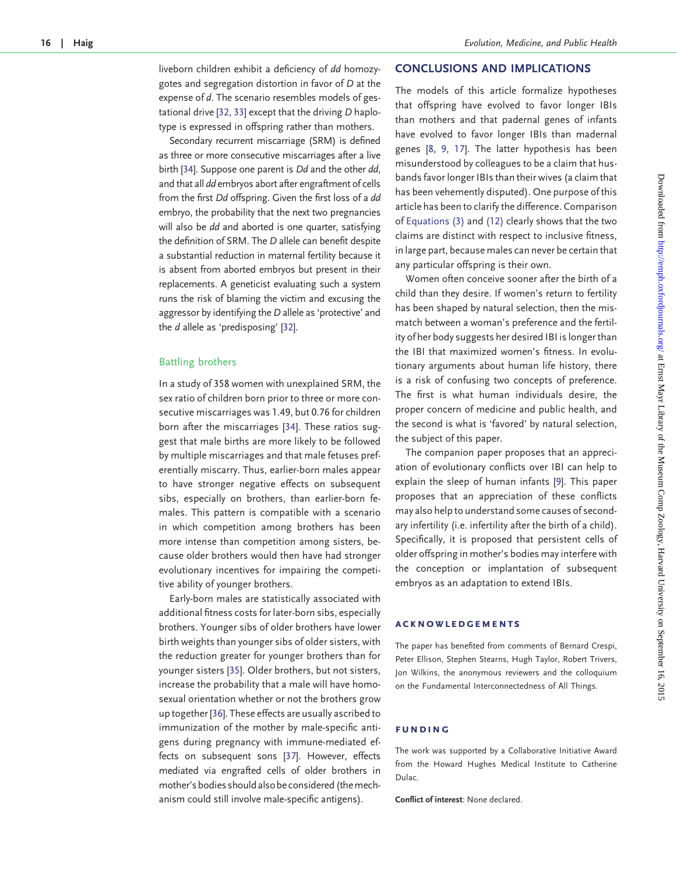liveborn children exhibit a deficiency of dd homozygotes and segregation distortion in favor of D at the expense of d. The scenario resembles models of gestational drive [\[32](#page-5-0), [33\]](#page-5-0) except that the driving D haplotype is expressed in offspring rather than mothers.

Secondary recurrent miscarriage (SRM) is defined as three or more consecutive miscarriages after a live birth [[34\]](#page-5-0). Suppose one parent is Dd and the other dd, and that all dd embryos abort after engraftment of cells from the first Dd offspring. Given the first loss of a dd embryo, the probability that the next two pregnancies will also be dd and aborted is one quarter, satisfying the definition of SRM. The D allele can benefit despite a substantial reduction in maternal fertility because it is absent from aborted embryos but present in their replacements. A geneticist evaluating such a system runs the risk of blaming the victim and excusing the aggressor by identifying the D allele as 'protective' and the d allele as 'predisposing' [\[32](#page-5-0)].

## Battling brothers

In a study of 358 women with unexplained SRM, the sex ratio of children born prior to three or more consecutive miscarriages was 1.49, but 0.76 for children born after the miscarriages [\[34](#page-5-0)]. These ratios suggest that male births are more likely to be followed by multiple miscarriages and that male fetuses preferentially miscarry. Thus, earlier-born males appear to have stronger negative effects on subsequent sibs, especially on brothers, than earlier-born females. This pattern is compatible with a scenario in which competition among brothers has been more intense than competition among sisters, because older brothers would then have had stronger evolutionary incentives for impairing the competitive ability of younger brothers.

Early-born males are statistically associated with additional fitness costs for later-born sibs, especially brothers. Younger sibs of older brothers have lower birth weights than younger sibs of older sisters, with the reduction greater for younger brothers than for younger sisters [[35](#page-5-0)]. Older brothers, but not sisters, increase the probability that a male will have homosexual orientation whether or not the brothers grow up together [\[36\]](#page-5-0). These effects are usually ascribed to immunization of the mother by male-specific antigens during pregnancy with immune-mediated effects on subsequent sons [[37\]](#page-5-0). However, effects mediated via engrafted cells of older brothers in mother's bodies should also be considered (the mechanism could still involve male-specific antigens).

## CONCLUSIONS AND IMPLICATIONS

The models of this article formalize hypotheses that offspring have evolved to favor longer IBIs than mothers and that padernal genes of infants have evolved to favor longer IBIs than madernal genes [[8](#page-5-0), [9](#page-5-0), [17\]](#page-5-0). The latter hypothesis has been misunderstood by colleagues to be a claim that husbands favor longer IBIs than their wives (a claim that has been vehemently disputed). One purpose of this article has been to clarify the difference. Comparison of Equations (3) and (12) clearly shows that the two claims are distinct with respect to inclusive fitness, in large part, because males can never be certain that any particular offspring is their own.

Women often conceive sooner after the birth of a child than they desire. If women's return to fertility has been shaped by natural selection, then the mismatch between a woman's preference and the fertility of her body suggests her desired IBI is longer than the IBI that maximized women's fitness. In evolutionary arguments about human life history, there is a risk of confusing two concepts of preference. The first is what human individuals desire, the proper concern of medicine and public health, and the second is what is 'favored' by natural selection, the subject of this paper.

The companion paper proposes that an appreciation of evolutionary conflicts over IBI can help to explain the sleep of human infants [\[9\]](#page-5-0). This paper proposes that an appreciation of these conflicts may also help to understand some causes of secondary infertility (i.e. infertility after the birth of a child). Specifically, it is proposed that persistent cells of older offspring in mother's bodies may interfere with the conception or implantation of subsequent embryos as an adaptation to extend IBIs.

#### acknowledgements

The paper has benefited from comments of Bernard Crespi, Peter Ellison, Stephen Stearns, Hugh Taylor, Robert Trivers, Jon Wilkins, the anonymous reviewers and the colloquium on the Fundamental Interconnectedness of All Things.

#### funding

The work was supported by a Collaborative Initiative Award from the Howard Hughes Medical Institute to Catherine Dulac.

Conflict of interest: None declared.